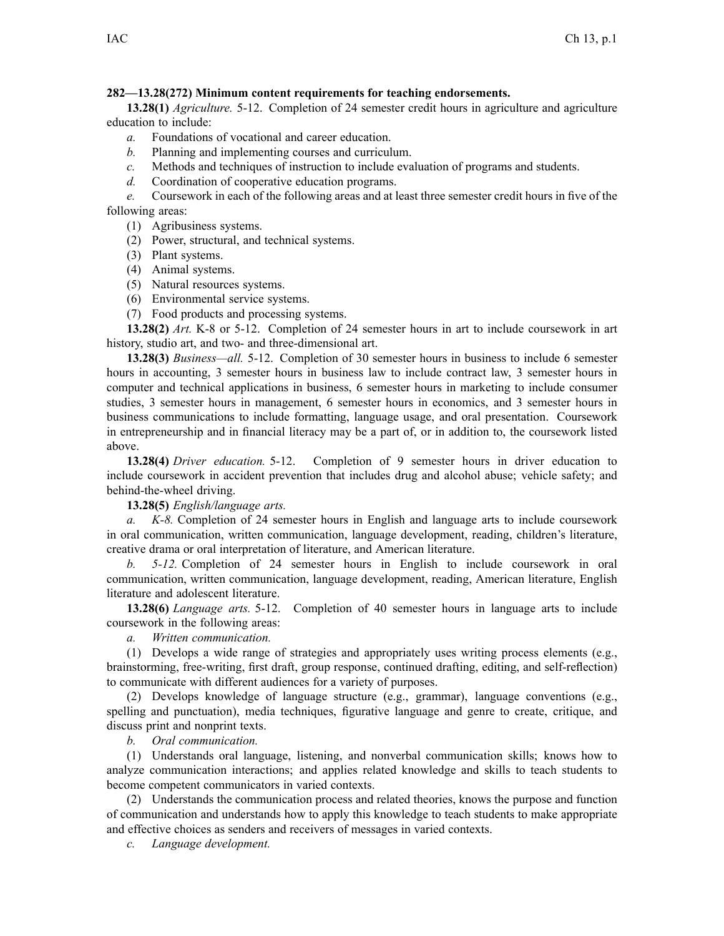## **282—13.28(272) Minimum content requirements for teaching endorsements.**

**13.28(1)** *Agriculture.* 5-12. Completion of 24 semester credit hours in agriculture and agriculture education to include:

- *a.* Foundations of vocational and career education.
- *b.* Planning and implementing courses and curriculum.
- *c.* Methods and techniques of instruction to include evaluation of programs and students.
- *d.* Coordination of cooperative education programs.

*e.* Coursework in each of the following areas and at least three semester credit hours in five of the following areas:

- (1) Agribusiness systems.
- (2) Power, structural, and technical systems.
- (3) Plant systems.
- (4) Animal systems.
- (5) Natural resources systems.
- (6) Environmental service systems.
- (7) Food products and processing systems.

**13.28(2)** *Art.* K-8 or 5-12. Completion of 24 semester hours in art to include coursework in art history, studio art, and two- and three-dimensional art.

**13.28(3)** *Business—all.* 5-12. Completion of 30 semester hours in business to include 6 semester hours in accounting, 3 semester hours in business law to include contract law, 3 semester hours in computer and technical applications in business, 6 semester hours in marketing to include consumer studies, 3 semester hours in management, 6 semester hours in economics, and 3 semester hours in business communications to include formatting, language usage, and oral presentation. Coursework in entrepreneurship and in financial literacy may be <sup>a</sup> par<sup>t</sup> of, or in addition to, the coursework listed above.

**13.28(4)** *Driver education.* 5-12. Completion of 9 semester hours in driver education to include coursework in accident prevention that includes drug and alcohol abuse; vehicle safety; and behind-the-wheel driving.

**13.28(5)** *English/language arts.*

*a. K-8.* Completion of 24 semester hours in English and language arts to include coursework in oral communication, written communication, language development, reading, children's literature, creative drama or oral interpretation of literature, and American literature.

*b. 5-12.* Completion of 24 semester hours in English to include coursework in oral communication, written communication, language development, reading, American literature, English literature and adolescent literature.

**13.28(6)** *Language arts.* 5-12. Completion of 40 semester hours in language arts to include coursework in the following areas:

*a. Written communication.*

(1) Develops <sup>a</sup> wide range of strategies and appropriately uses writing process elements (e.g., brainstorming, free-writing, first draft, group response, continued drafting, editing, and self-reflection) to communicate with different audiences for <sup>a</sup> variety of purposes.

(2) Develops knowledge of language structure (e.g., grammar), language conventions (e.g., spelling and punctuation), media techniques, figurative language and genre to create, critique, and discuss print and nonprint texts.

*b. Oral communication.*

(1) Understands oral language, listening, and nonverbal communication skills; knows how to analyze communication interactions; and applies related knowledge and skills to teach students to become competent communicators in varied contexts.

(2) Understands the communication process and related theories, knows the purpose and function of communication and understands how to apply this knowledge to teach students to make appropriate and effective choices as senders and receivers of messages in varied contexts.

*c. Language development.*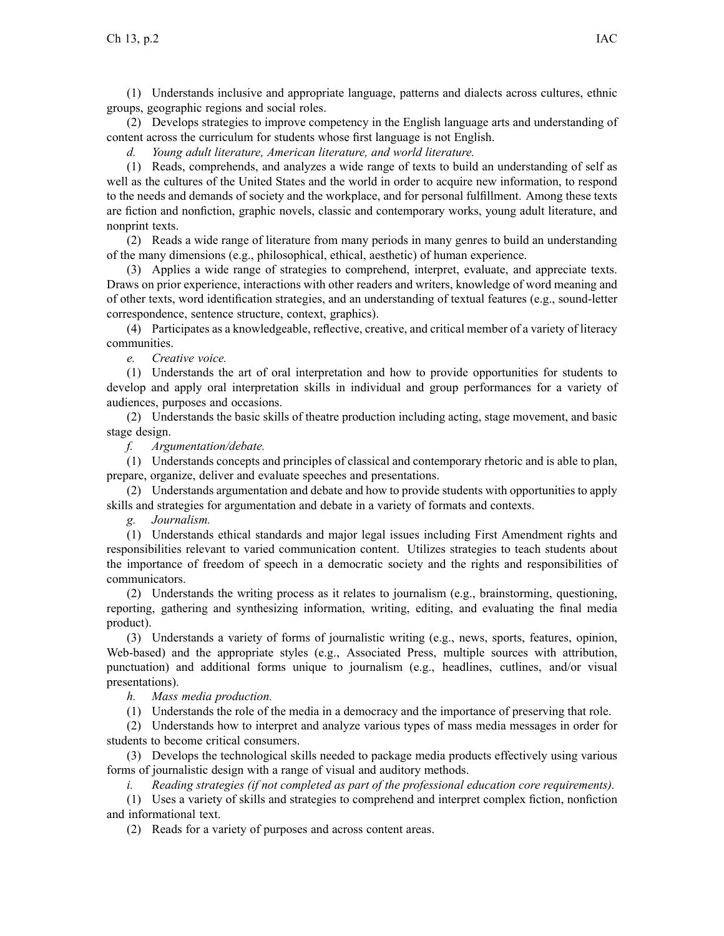(1) Understands inclusive and appropriate language, patterns and dialects across cultures, ethnic groups, geographic regions and social roles.

(2) Develops strategies to improve competency in the English language arts and understanding of content across the curriculum for students whose first language is not English.

*d. Young adult literature, American literature, and world literature.*

(1) Reads, comprehends, and analyzes <sup>a</sup> wide range of texts to build an understanding of self as well as the cultures of the United States and the world in order to acquire new information, to respond to the needs and demands of society and the workplace, and for personal fulfillment. Among these texts are fiction and nonfiction, graphic novels, classic and contemporary works, young adult literature, and nonprint texts.

(2) Reads <sup>a</sup> wide range of literature from many periods in many genres to build an understanding of the many dimensions (e.g., philosophical, ethical, aesthetic) of human experience.

(3) Applies <sup>a</sup> wide range of strategies to comprehend, interpret, evaluate, and appreciate texts. Draws on prior experience, interactions with other readers and writers, knowledge of word meaning and of other texts, word identification strategies, and an understanding of textual features (e.g., sound-letter correspondence, sentence structure, context, graphics).

(4) Participates as <sup>a</sup> knowledgeable, reflective, creative, and critical member of <sup>a</sup> variety of literacy communities.

*e. Creative voice.*

(1) Understands the art of oral interpretation and how to provide opportunities for students to develop and apply oral interpretation skills in individual and group performances for <sup>a</sup> variety of audiences, purposes and occasions.

(2) Understands the basic skills of theatre production including acting, stage movement, and basic stage design.

*f. Argumentation/debate.*

(1) Understands concepts and principles of classical and contemporary rhetoric and is able to plan, prepare, organize, deliver and evaluate speeches and presentations.

(2) Understands argumentation and debate and how to provide students with opportunities to apply skills and strategies for argumentation and debate in <sup>a</sup> variety of formats and contexts.

*g. Journalism.*

(1) Understands ethical standards and major legal issues including First Amendment rights and responsibilities relevant to varied communication content. Utilizes strategies to teach students about the importance of freedom of speech in <sup>a</sup> democratic society and the rights and responsibilities of communicators.

(2) Understands the writing process as it relates to journalism (e.g., brainstorming, questioning, reporting, gathering and synthesizing information, writing, editing, and evaluating the final media product).

(3) Understands <sup>a</sup> variety of forms of journalistic writing (e.g., news, sports, features, opinion, Web-based) and the appropriate styles (e.g., Associated Press, multiple sources with attribution, punctuation) and additional forms unique to journalism (e.g., headlines, cutlines, and/or visual presentations).

*h. Mass media production.*

(1) Understands the role of the media in <sup>a</sup> democracy and the importance of preserving that role.

(2) Understands how to interpret and analyze various types of mass media messages in order for students to become critical consumers.

(3) Develops the technological skills needed to package media products effectively using various forms of journalistic design with <sup>a</sup> range of visual and auditory methods.

*i. Reading strategies (if not completed as par<sup>t</sup> of the professional education core requirements).*

(1) Uses <sup>a</sup> variety of skills and strategies to comprehend and interpret complex fiction, nonfiction and informational text.

(2) Reads for <sup>a</sup> variety of purposes and across content areas.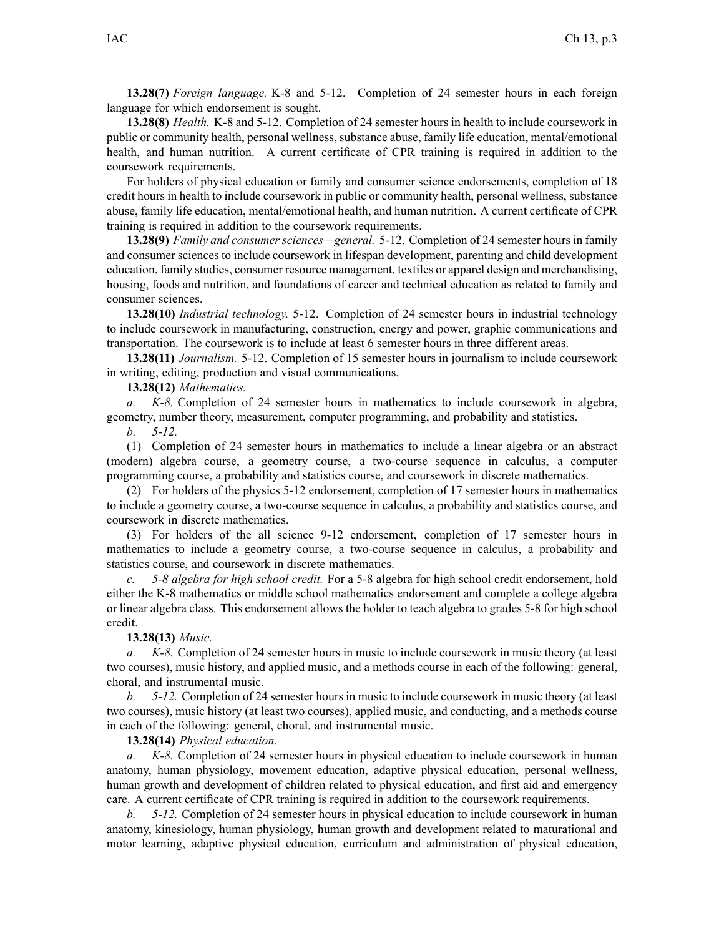**13.28(7)** *Foreign language.* K-8 and 5-12. Completion of 24 semester hours in each foreign language for which endorsement is sought.

**13.28(8)** *Health.* K-8 and 5-12. Completion of 24 semester hours in health to include coursework in public or community health, personal wellness, substance abuse, family life education, mental/emotional health, and human nutrition. A current certificate of CPR training is required in addition to the coursework requirements.

For holders of physical education or family and consumer science endorsements, completion of 18 credit hours in health to include coursework in public or community health, personal wellness, substance abuse, family life education, mental/emotional health, and human nutrition. A current certificate of CPR training is required in addition to the coursework requirements.

**13.28(9)** *Family and consumer sciences—general.* 5-12. Completion of 24 semester hours in family and consumer sciences to include coursework in lifespan development, parenting and child development education, family studies, consumer resource management, textiles or apparel design and merchandising, housing, foods and nutrition, and foundations of career and technical education as related to family and consumer sciences.

**13.28(10)** *Industrial technology.* 5-12. Completion of 24 semester hours in industrial technology to include coursework in manufacturing, construction, energy and power, graphic communications and transportation. The coursework is to include at least 6 semester hours in three different areas.

**13.28(11)** *Journalism.* 5-12. Completion of 15 semester hours in journalism to include coursework in writing, editing, production and visual communications.

**13.28(12)** *Mathematics.*

*a. K-8.* Completion of 24 semester hours in mathematics to include coursework in algebra, geometry, number theory, measurement, computer programming, and probability and statistics.

*b. 5-12.*

(1) Completion of 24 semester hours in mathematics to include <sup>a</sup> linear algebra or an abstract (modern) algebra course, <sup>a</sup> geometry course, <sup>a</sup> two-course sequence in calculus, <sup>a</sup> computer programming course, <sup>a</sup> probability and statistics course, and coursework in discrete mathematics.

(2) For holders of the physics 5-12 endorsement, completion of 17 semester hours in mathematics to include <sup>a</sup> geometry course, <sup>a</sup> two-course sequence in calculus, <sup>a</sup> probability and statistics course, and coursework in discrete mathematics.

(3) For holders of the all science 9-12 endorsement, completion of 17 semester hours in mathematics to include <sup>a</sup> geometry course, <sup>a</sup> two-course sequence in calculus, <sup>a</sup> probability and statistics course, and coursework in discrete mathematics.

*c. 5-8 algebra for high school credit.* For <sup>a</sup> 5-8 algebra for high school credit endorsement, hold either the K-8 mathematics or middle school mathematics endorsement and complete <sup>a</sup> college algebra or linear algebra class. This endorsement allows the holder to teach algebra to grades 5-8 for high school credit.

## **13.28(13)** *Music.*

*a. K-8.* Completion of 24 semester hours in music to include coursework in music theory (at least two courses), music history, and applied music, and <sup>a</sup> methods course in each of the following: general, choral, and instrumental music.

*b. 5-12.* Completion of 24 semester hours in music to include coursework in music theory (at least two courses), music history (at least two courses), applied music, and conducting, and <sup>a</sup> methods course in each of the following: general, choral, and instrumental music.

**13.28(14)** *Physical education.*

*a. K-8.* Completion of 24 semester hours in physical education to include coursework in human anatomy, human physiology, movement education, adaptive physical education, personal wellness, human growth and development of children related to physical education, and first aid and emergency care. A current certificate of CPR training is required in addition to the coursework requirements.

*b. 5-12.* Completion of 24 semester hours in physical education to include coursework in human anatomy, kinesiology, human physiology, human growth and development related to maturational and motor learning, adaptive physical education, curriculum and administration of physical education,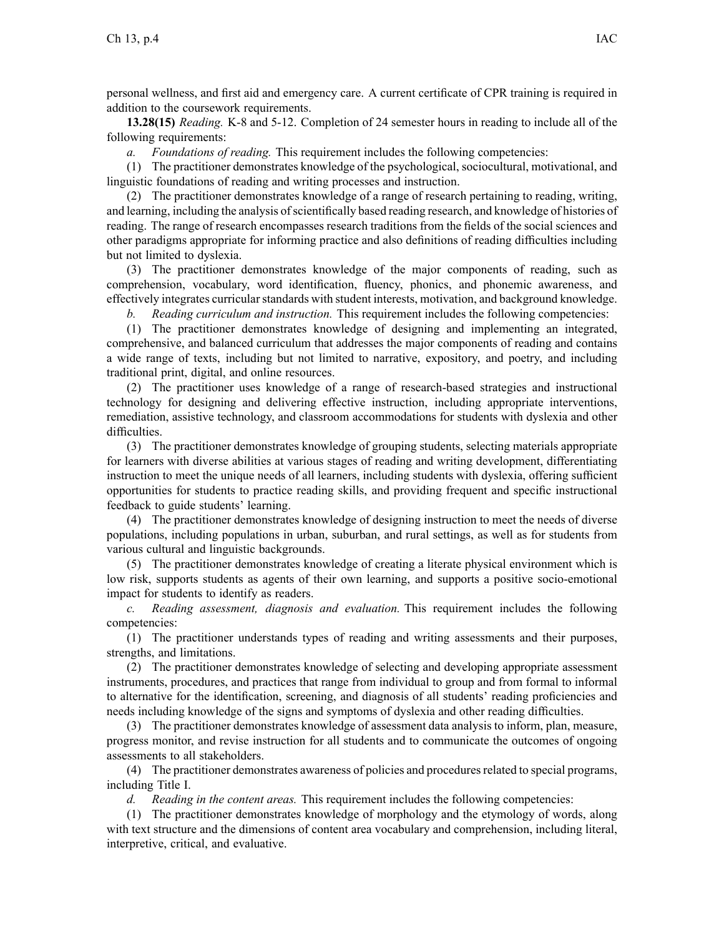personal wellness, and first aid and emergency care. A current certificate of CPR training is required in addition to the coursework requirements.

**13.28(15)** *Reading.* K-8 and 5-12. Completion of 24 semester hours in reading to include all of the following requirements:

*a. Foundations of reading.* This requirement includes the following competencies:

(1) The practitioner demonstrates knowledge of the psychological, sociocultural, motivational, and linguistic foundations of reading and writing processes and instruction.

(2) The practitioner demonstrates knowledge of <sup>a</sup> range of research pertaining to reading, writing, and learning, including the analysis of scientifically based reading research, and knowledge of histories of reading. The range of research encompasses research traditions from the fields of the social sciences and other paradigms appropriate for informing practice and also definitions of reading difficulties including but not limited to dyslexia.

(3) The practitioner demonstrates knowledge of the major components of reading, such as comprehension, vocabulary, word identification, fluency, phonics, and phonemic awareness, and effectively integrates curricular standards with student interests, motivation, and background knowledge.

*b. Reading curriculum and instruction.* This requirement includes the following competencies:

(1) The practitioner demonstrates knowledge of designing and implementing an integrated, comprehensive, and balanced curriculum that addresses the major components of reading and contains <sup>a</sup> wide range of texts, including but not limited to narrative, expository, and poetry, and including traditional print, digital, and online resources.

(2) The practitioner uses knowledge of <sup>a</sup> range of research-based strategies and instructional technology for designing and delivering effective instruction, including appropriate interventions, remediation, assistive technology, and classroom accommodations for students with dyslexia and other difficulties.

(3) The practitioner demonstrates knowledge of grouping students, selecting materials appropriate for learners with diverse abilities at various stages of reading and writing development, differentiating instruction to meet the unique needs of all learners, including students with dyslexia, offering sufficient opportunities for students to practice reading skills, and providing frequent and specific instructional feedback to guide students' learning.

(4) The practitioner demonstrates knowledge of designing instruction to meet the needs of diverse populations, including populations in urban, suburban, and rural settings, as well as for students from various cultural and linguistic backgrounds.

(5) The practitioner demonstrates knowledge of creating <sup>a</sup> literate physical environment which is low risk, supports students as agents of their own learning, and supports <sup>a</sup> positive socio-emotional impact for students to identify as readers.

*c. Reading assessment, diagnosis and evaluation.* This requirement includes the following competencies:

(1) The practitioner understands types of reading and writing assessments and their purposes, strengths, and limitations.

(2) The practitioner demonstrates knowledge of selecting and developing appropriate assessment instruments, procedures, and practices that range from individual to group and from formal to informal to alternative for the identification, screening, and diagnosis of all students' reading proficiencies and needs including knowledge of the signs and symptoms of dyslexia and other reading difficulties.

(3) The practitioner demonstrates knowledge of assessment data analysis to inform, plan, measure, progress monitor, and revise instruction for all students and to communicate the outcomes of ongoing assessments to all stakeholders.

(4) The practitioner demonstrates awareness of policies and proceduresrelated to special programs, including Title I.

*d. Reading in the content areas.* This requirement includes the following competencies:

(1) The practitioner demonstrates knowledge of morphology and the etymology of words, along with text structure and the dimensions of content area vocabulary and comprehension, including literal, interpretive, critical, and evaluative.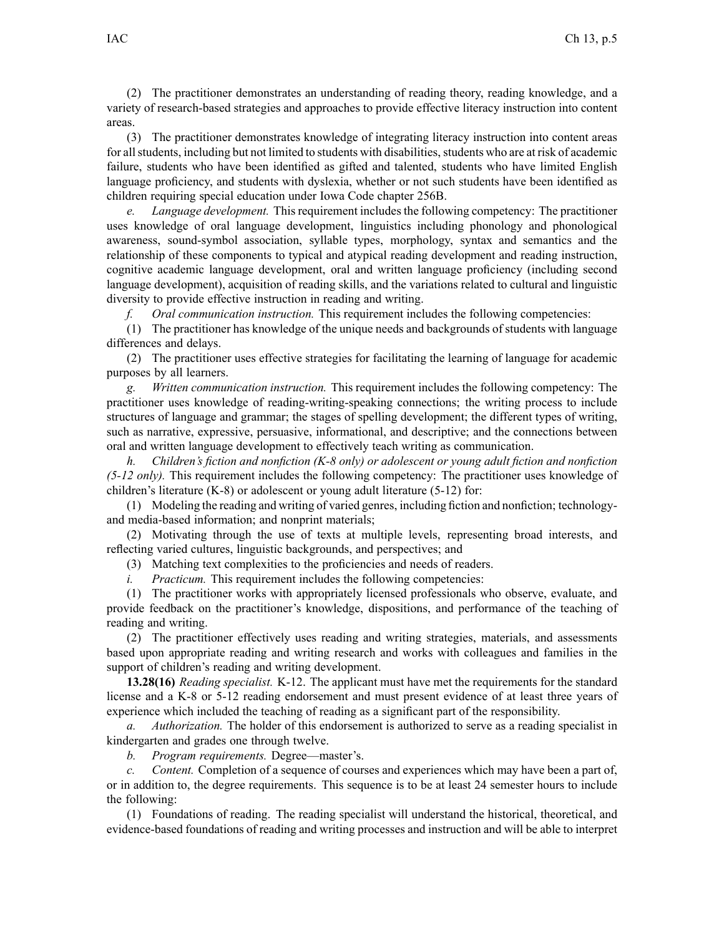(2) The practitioner demonstrates an understanding of reading theory, reading knowledge, and <sup>a</sup> variety of research-based strategies and approaches to provide effective literacy instruction into content areas.

(3) The practitioner demonstrates knowledge of integrating literacy instruction into content areas for all students, including but not limited to students with disabilities, students who are at risk of academic failure, students who have been identified as gifted and talented, students who have limited English language proficiency, and students with dyslexia, whether or not such students have been identified as children requiring special education under Iowa Code chapter [256B](https://www.legis.iowa.gov/docs/ico/chapter/256B.pdf).

*e. Language development.* This requirement includes the following competency: The practitioner uses knowledge of oral language development, linguistics including phonology and phonological awareness, sound-symbol association, syllable types, morphology, syntax and semantics and the relationship of these components to typical and atypical reading development and reading instruction, cognitive academic language development, oral and written language proficiency (including second language development), acquisition of reading skills, and the variations related to cultural and linguistic diversity to provide effective instruction in reading and writing.

*f. Oral communication instruction.* This requirement includes the following competencies:

(1) The practitioner has knowledge of the unique needs and backgrounds of students with language differences and delays.

(2) The practitioner uses effective strategies for facilitating the learning of language for academic purposes by all learners.

*g. Written communication instruction.* This requirement includes the following competency: The practitioner uses knowledge of reading-writing-speaking connections; the writing process to include structures of language and grammar; the stages of spelling development; the different types of writing, such as narrative, expressive, persuasive, informational, and descriptive; and the connections between oral and written language development to effectively teach writing as communication.

*h. Children's fiction and nonfiction (K-8 only) or adolescent or young adult fiction and nonfiction (5-12 only).* This requirement includes the following competency: The practitioner uses knowledge of children's literature (K-8) or adolescent or young adult literature (5-12) for:

(1) Modeling the reading and writing of varied genres, including fiction and nonfiction; technologyand media-based information; and nonprint materials;

(2) Motivating through the use of texts at multiple levels, representing broad interests, and reflecting varied cultures, linguistic backgrounds, and perspectives; and

(3) Matching text complexities to the proficiencies and needs of readers.

*i. Practicum.* This requirement includes the following competencies:

(1) The practitioner works with appropriately licensed professionals who observe, evaluate, and provide feedback on the practitioner's knowledge, dispositions, and performance of the teaching of reading and writing.

(2) The practitioner effectively uses reading and writing strategies, materials, and assessments based upon appropriate reading and writing research and works with colleagues and families in the suppor<sup>t</sup> of children's reading and writing development.

**13.28(16)** *Reading specialist.* K-12. The applicant must have met the requirements for the standard license and <sup>a</sup> K-8 or 5-12 reading endorsement and must presen<sup>t</sup> evidence of at least three years of experience which included the teaching of reading as <sup>a</sup> significant par<sup>t</sup> of the responsibility.

*a. Authorization.* The holder of this endorsement is authorized to serve as <sup>a</sup> reading specialist in kindergarten and grades one through twelve.

*b. Program requirements.* Degree—master's.

*Content.* Completion of a sequence of courses and experiences which may have been a part of, or in addition to, the degree requirements. This sequence is to be at least 24 semester hours to include the following:

(1) Foundations of reading. The reading specialist will understand the historical, theoretical, and evidence-based foundations of reading and writing processes and instruction and will be able to interpret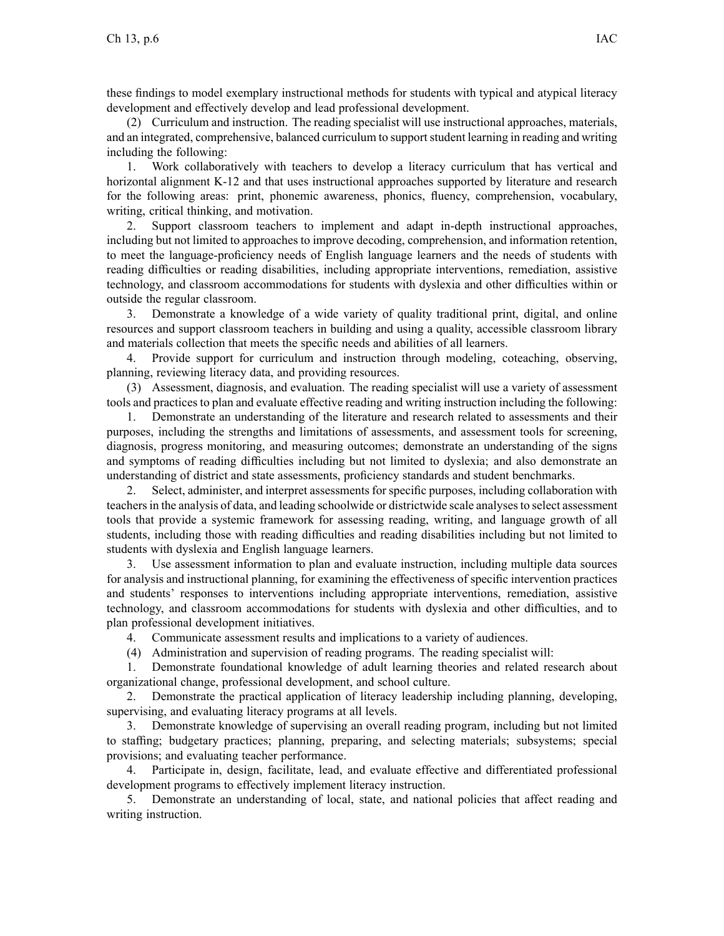these findings to model exemplary instructional methods for students with typical and atypical literacy development and effectively develop and lead professional development.

(2) Curriculum and instruction. The reading specialist will use instructional approaches, materials, and an integrated, comprehensive, balanced curriculum to supportstudent learning in reading and writing including the following:

1. Work collaboratively with teachers to develop <sup>a</sup> literacy curriculum that has vertical and horizontal alignment K-12 and that uses instructional approaches supported by literature and research for the following areas: print, phonemic awareness, phonics, fluency, comprehension, vocabulary, writing, critical thinking, and motivation.

2. Support classroom teachers to implement and adapt in-depth instructional approaches, including but not limited to approaches to improve decoding, comprehension, and information retention, to meet the language-proficiency needs of English language learners and the needs of students with reading difficulties or reading disabilities, including appropriate interventions, remediation, assistive technology, and classroom accommodations for students with dyslexia and other difficulties within or outside the regular classroom.

3. Demonstrate <sup>a</sup> knowledge of <sup>a</sup> wide variety of quality traditional print, digital, and online resources and suppor<sup>t</sup> classroom teachers in building and using <sup>a</sup> quality, accessible classroom library and materials collection that meets the specific needs and abilities of all learners.

4. Provide suppor<sup>t</sup> for curriculum and instruction through modeling, coteaching, observing, planning, reviewing literacy data, and providing resources.

(3) Assessment, diagnosis, and evaluation. The reading specialist will use <sup>a</sup> variety of assessment tools and practices to plan and evaluate effective reading and writing instruction including the following:

1. Demonstrate an understanding of the literature and research related to assessments and their purposes, including the strengths and limitations of assessments, and assessment tools for screening, diagnosis, progress monitoring, and measuring outcomes; demonstrate an understanding of the signs and symptoms of reading difficulties including but not limited to dyslexia; and also demonstrate an understanding of district and state assessments, proficiency standards and student benchmarks.

2. Select, administer, and interpret assessments for specific purposes, including collaboration with teachersin the analysis of data, and leading schoolwide or districtwide scale analysesto select assessment tools that provide <sup>a</sup> systemic framework for assessing reading, writing, and language growth of all students, including those with reading difficulties and reading disabilities including but not limited to students with dyslexia and English language learners.

3. Use assessment information to plan and evaluate instruction, including multiple data sources for analysis and instructional planning, for examining the effectiveness of specific intervention practices and students' responses to interventions including appropriate interventions, remediation, assistive technology, and classroom accommodations for students with dyslexia and other difficulties, and to plan professional development initiatives.

4. Communicate assessment results and implications to <sup>a</sup> variety of audiences.

(4) Administration and supervision of reading programs. The reading specialist will:

1. Demonstrate foundational knowledge of adult learning theories and related research about organizational change, professional development, and school culture.

2. Demonstrate the practical application of literacy leadership including planning, developing, supervising, and evaluating literacy programs at all levels.

3. Demonstrate knowledge of supervising an overall reading program, including but not limited to staffing; budgetary practices; planning, preparing, and selecting materials; subsystems; special provisions; and evaluating teacher performance.

4. Participate in, design, facilitate, lead, and evaluate effective and differentiated professional development programs to effectively implement literacy instruction.

5. Demonstrate an understanding of local, state, and national policies that affect reading and writing instruction.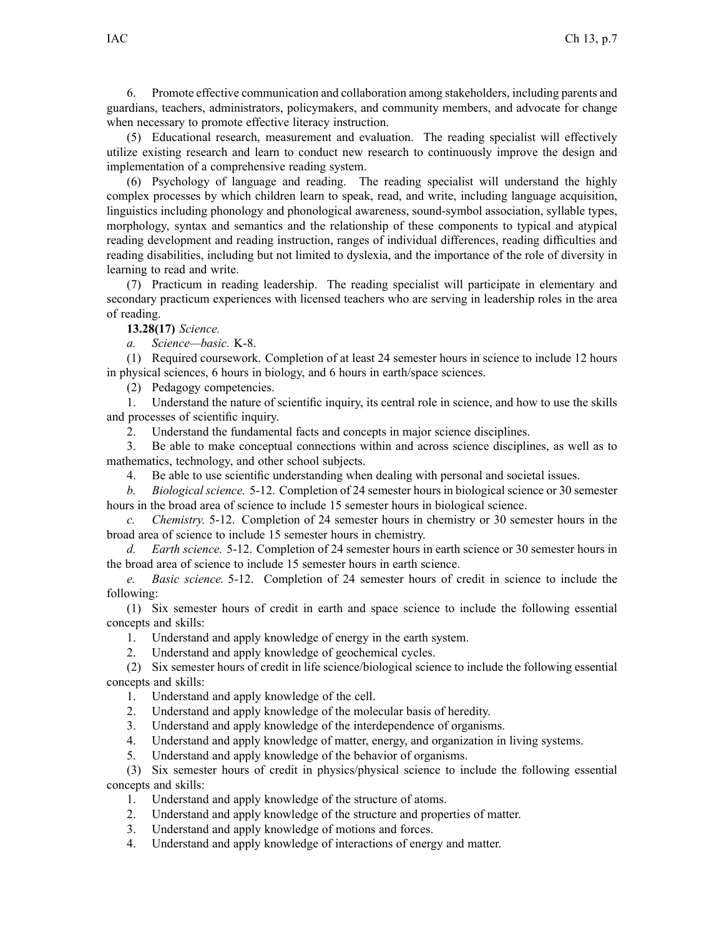6. Promote effective communication and collaboration among stakeholders, including parents and guardians, teachers, administrators, policymakers, and community members, and advocate for change when necessary to promote effective literacy instruction.

(5) Educational research, measurement and evaluation. The reading specialist will effectively utilize existing research and learn to conduct new research to continuously improve the design and implementation of <sup>a</sup> comprehensive reading system.

(6) Psychology of language and reading. The reading specialist will understand the highly complex processes by which children learn to speak, read, and write, including language acquisition, linguistics including phonology and phonological awareness, sound-symbol association, syllable types, morphology, syntax and semantics and the relationship of these components to typical and atypical reading development and reading instruction, ranges of individual differences, reading difficulties and reading disabilities, including but not limited to dyslexia, and the importance of the role of diversity in learning to read and write.

(7) Practicum in reading leadership. The reading specialist will participate in elementary and secondary practicum experiences with licensed teachers who are serving in leadership roles in the area of reading.

**13.28(17)** *Science.*

*a. Science—basic.* K-8.

(1) Required coursework. Completion of at least 24 semester hours in science to include 12 hours in physical sciences, 6 hours in biology, and 6 hours in earth/space sciences.

(2) Pedagogy competencies.

1. Understand the nature of scientific inquiry, its central role in science, and how to use the skills and processes of scientific inquiry.

2. Understand the fundamental facts and concepts in major science disciplines.

3. Be able to make conceptual connections within and across science disciplines, as well as to mathematics, technology, and other school subjects.

4. Be able to use scientific understanding when dealing with personal and societal issues.

*b. Biological science.* 5-12. Completion of 24 semester hours in biological science or 30 semester hours in the broad area of science to include 15 semester hours in biological science.

*c. Chemistry.* 5-12. Completion of 24 semester hours in chemistry or 30 semester hours in the broad area of science to include 15 semester hours in chemistry.

*d. Earth science.* 5-12. Completion of 24 semester hours in earth science or 30 semester hours in the broad area of science to include 15 semester hours in earth science.

*e. Basic science.* 5-12. Completion of 24 semester hours of credit in science to include the following:

(1) Six semester hours of credit in earth and space science to include the following essential concepts and skills:

1. Understand and apply knowledge of energy in the earth system.

2. Understand and apply knowledge of geochemical cycles.

(2) Six semester hours of credit in life science/biological science to include the following essential concepts and skills:

1. Understand and apply knowledge of the cell.

2. Understand and apply knowledge of the molecular basis of heredity.

3. Understand and apply knowledge of the interdependence of organisms.

4. Understand and apply knowledge of matter, energy, and organization in living systems.

5. Understand and apply knowledge of the behavior of organisms.

(3) Six semester hours of credit in physics/physical science to include the following essential concepts and skills:

1. Understand and apply knowledge of the structure of atoms.

2. Understand and apply knowledge of the structure and properties of matter.

3. Understand and apply knowledge of motions and forces.

4. Understand and apply knowledge of interactions of energy and matter.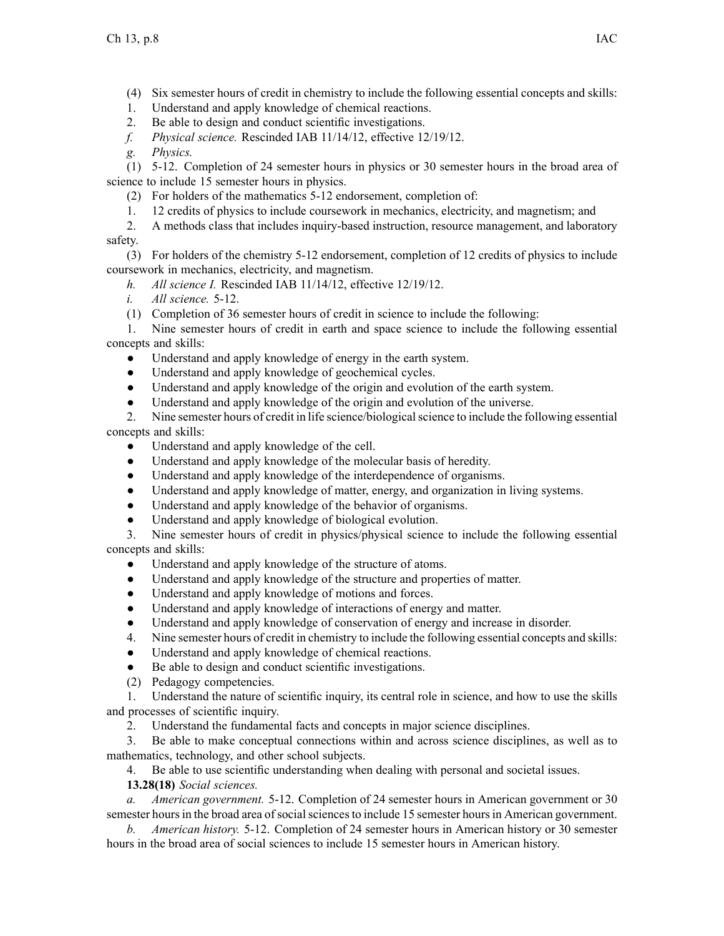(4) Six semester hours of credit in chemistry to include the following essential concepts and skills:

- 1. Understand and apply knowledge of chemical reactions.
- 2. Be able to design and conduct scientific investigations.
- *f. Physical science.* Rescinded IAB [11/14/12](https://www.legis.iowa.gov/docs/aco/bulletin/11-14-2012.pdf), effective 12/19/12.

*g. Physics.*

(1) 5-12. Completion of 24 semester hours in physics or 30 semester hours in the broad area of science to include 15 semester hours in physics.

- (2) For holders of the mathematics 5-12 endorsement, completion of:
- 1. 12 credits of physics to include coursework in mechanics, electricity, and magnetism; and
- 2. A methods class that includes inquiry-based instruction, resource management, and laboratory safety.

(3) For holders of the chemistry 5-12 endorsement, completion of 12 credits of physics to include coursework in mechanics, electricity, and magnetism.

- *h. All science I.* Rescinded IAB [11/14/12](https://www.legis.iowa.gov/docs/aco/bulletin/11-14-2012.pdf), effective 12/19/12.
- *i. All science.* 5-12.
- (1) Completion of 36 semester hours of credit in science to include the following:

1. Nine semester hours of credit in earth and space science to include the following essential concepts and skills:

- $\bullet$ Understand and apply knowledge of energy in the earth system.
- ●Understand and apply knowledge of geochemical cycles.
- $\bullet$ Understand and apply knowledge of the origin and evolution of the earth system.
- ●Understand and apply knowledge of the origin and evolution of the universe.

2. Nine semester hours of credit in life science/biologicalscience to include the following essential concepts and skills:

- $\bullet$ Understand and apply knowledge of the cell.
- ●Understand and apply knowledge of the molecular basis of heredity.
- $\bullet$ Understand and apply knowledge of the interdependence of organisms.
- $\bullet$ Understand and apply knowledge of matter, energy, and organization in living systems.
- ●Understand and apply knowledge of the behavior of organisms.
- $\bullet$ Understand and apply knowledge of biological evolution.

3. Nine semester hours of credit in physics/physical science to include the following essential concepts and skills:

- ●Understand and apply knowledge of the structure of atoms.
- $\bullet$ Understand and apply knowledge of the structure and properties of matter.
- $\bullet$ Understand and apply knowledge of motions and forces.
- $\bullet$ Understand and apply knowledge of interactions of energy and matter.
- $\bullet$ Understand and apply knowledge of conservation of energy and increase in disorder.
- 4. Nine semester hours of credit in chemistry to include the following essential concepts and skills:
- $\bullet$ Understand and apply knowledge of chemical reactions.
- ●Be able to design and conduct scientific investigations.
- (2) Pedagogy competencies.

1. Understand the nature of scientific inquiry, its central role in science, and how to use the skills and processes of scientific inquiry.

2. Understand the fundamental facts and concepts in major science disciplines.

3. Be able to make conceptual connections within and across science disciplines, as well as to mathematics, technology, and other school subjects.

4. Be able to use scientific understanding when dealing with personal and societal issues.

**13.28(18)** *Social sciences.*

*a. American government.* 5-12. Completion of 24 semester hours in American governmen<sup>t</sup> or 30 semester hours in the broad area of social sciences to include 15 semester hours in American government.

*b. American history.* 5-12. Completion of 24 semester hours in American history or 30 semester hours in the broad area of social sciences to include 15 semester hours in American history.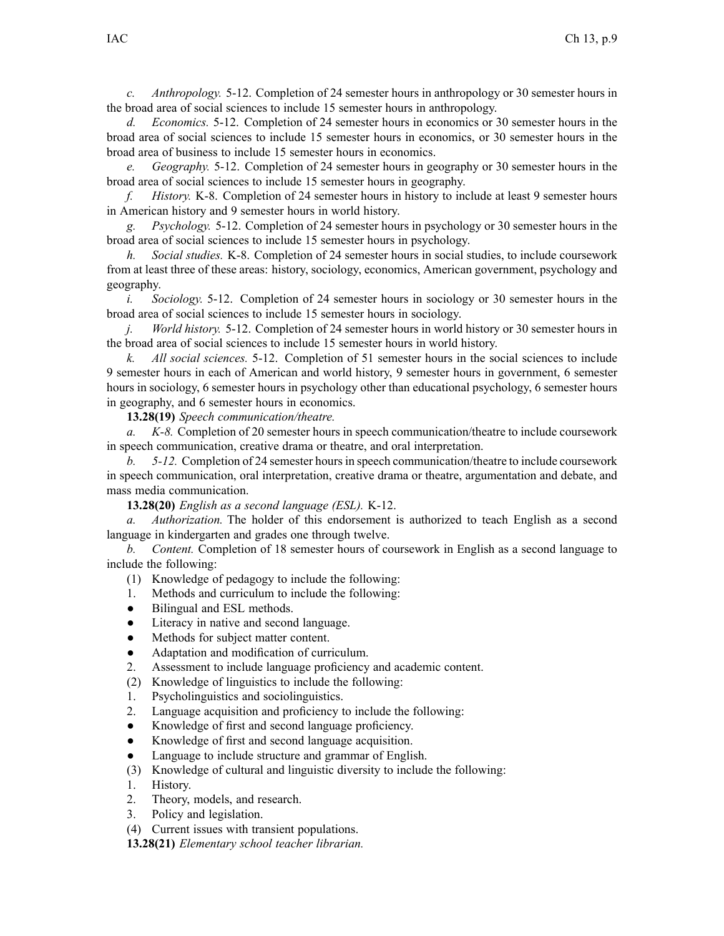*c. Anthropology.* 5-12. Completion of 24 semester hours in anthropology or 30 semester hours in the broad area of social sciences to include 15 semester hours in anthropology.

*d. Economics.* 5-12. Completion of 24 semester hours in economics or 30 semester hours in the broad area of social sciences to include 15 semester hours in economics, or 30 semester hours in the broad area of business to include 15 semester hours in economics.

*e. Geography.* 5-12. Completion of 24 semester hours in geography or 30 semester hours in the broad area of social sciences to include 15 semester hours in geography.

*f. History.* K-8. Completion of 24 semester hours in history to include at least 9 semester hours in American history and 9 semester hours in world history.

*g. Psychology.* 5-12. Completion of 24 semester hours in psychology or 30 semester hours in the broad area of social sciences to include 15 semester hours in psychology.

*h. Social studies.* K-8. Completion of 24 semester hours in social studies, to include coursework from at least three of these areas: history, sociology, economics, American government, psychology and geography.

*i. Sociology.* 5-12. Completion of 24 semester hours in sociology or 30 semester hours in the broad area of social sciences to include 15 semester hours in sociology.

*j. World history.* 5-12. Completion of 24 semester hours in world history or 30 semester hours in the broad area of social sciences to include 15 semester hours in world history.

*k. All social sciences.* 5-12. Completion of 51 semester hours in the social sciences to include 9 semester hours in each of American and world history, 9 semester hours in government, 6 semester hours in sociology, 6 semester hours in psychology other than educational psychology, 6 semester hours in geography, and 6 semester hours in economics.

**13.28(19)** *Speech communication/theatre.*

*a. K-8.* Completion of 20 semester hours in speech communication/theatre to include coursework in speech communication, creative drama or theatre, and oral interpretation.

*b. 5-12.* Completion of 24 semester hoursin speech communication/theatre to include coursework in speech communication, oral interpretation, creative drama or theatre, argumentation and debate, and mass media communication.

**13.28(20)** *English as <sup>a</sup> second language (ESL).* K-12.

*a. Authorization.* The holder of this endorsement is authorized to teach English as <sup>a</sup> second language in kindergarten and grades one through twelve.

*b. Content.* Completion of 18 semester hours of coursework in English as <sup>a</sup> second language to include the following:

- (1) Knowledge of pedagogy to include the following:
- 1. Methods and curriculum to include the following:
- $\bullet$ Bilingual and ESL methods.
- $\bullet$ Literacy in native and second language.
- $\bullet$ Methods for subject matter content.
- $\bullet$ Adaptation and modification of curriculum.
- 2. Assessment to include language proficiency and academic content.
- (2) Knowledge of linguistics to include the following:
- 1. Psycholinguistics and sociolinguistics.
- 2. Language acquisition and proficiency to include the following:
- $\bullet$ Knowledge of first and second language proficiency.
- ●Knowledge of first and second language acquisition.
- ●Language to include structure and grammar of English.
- (3) Knowledge of cultural and linguistic diversity to include the following:
- 1. History.
- 2. Theory, models, and research.
- 3. Policy and legislation.
- (4) Current issues with transient populations.

**13.28(21)** *Elementary school teacher librarian.*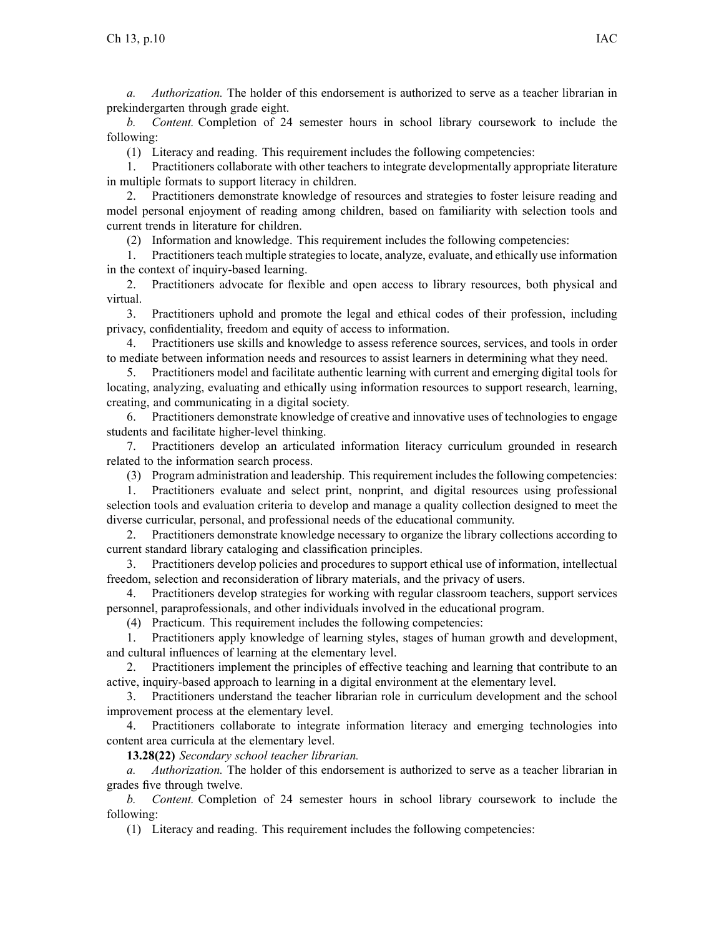*a. Authorization.* The holder of this endorsement is authorized to serve as <sup>a</sup> teacher librarian in prekindergarten through grade eight.

*b. Content.* Completion of 24 semester hours in school library coursework to include the following:

(1) Literacy and reading. This requirement includes the following competencies:

1. Practitioners collaborate with other teachers to integrate developmentally appropriate literature in multiple formats to suppor<sup>t</sup> literacy in children.

2. Practitioners demonstrate knowledge of resources and strategies to foster leisure reading and model personal enjoyment of reading among children, based on familiarity with selection tools and current trends in literature for children.

(2) Information and knowledge. This requirement includes the following competencies:

1. Practitionersteach multiple strategiesto locate, analyze, evaluate, and ethically use information in the context of inquiry-based learning.

2. Practitioners advocate for flexible and open access to library resources, both physical and virtual.

3. Practitioners uphold and promote the legal and ethical codes of their profession, including privacy, confidentiality, freedom and equity of access to information.

4. Practitioners use skills and knowledge to assess reference sources, services, and tools in order to mediate between information needs and resources to assist learners in determining what they need.

5. Practitioners model and facilitate authentic learning with current and emerging digital tools for locating, analyzing, evaluating and ethically using information resources to suppor<sup>t</sup> research, learning, creating, and communicating in <sup>a</sup> digital society.

6. Practitioners demonstrate knowledge of creative and innovative uses of technologies to engage students and facilitate higher-level thinking.

7. Practitioners develop an articulated information literacy curriculum grounded in research related to the information search process.

(3) Program administration and leadership. Thisrequirement includesthe following competencies:

1. Practitioners evaluate and select print, nonprint, and digital resources using professional selection tools and evaluation criteria to develop and manage <sup>a</sup> quality collection designed to meet the diverse curricular, personal, and professional needs of the educational community.

2. Practitioners demonstrate knowledge necessary to organize the library collections according to current standard library cataloging and classification principles.

3. Practitioners develop policies and procedures to suppor<sup>t</sup> ethical use of information, intellectual freedom, selection and reconsideration of library materials, and the privacy of users.

4. Practitioners develop strategies for working with regular classroom teachers, suppor<sup>t</sup> services personnel, paraprofessionals, and other individuals involved in the educational program.

(4) Practicum. This requirement includes the following competencies:

1. Practitioners apply knowledge of learning styles, stages of human growth and development, and cultural influences of learning at the elementary level.

2. Practitioners implement the principles of effective teaching and learning that contribute to an active, inquiry-based approach to learning in <sup>a</sup> digital environment at the elementary level.

3. Practitioners understand the teacher librarian role in curriculum development and the school improvement process at the elementary level.

4. Practitioners collaborate to integrate information literacy and emerging technologies into content area curricula at the elementary level.

**13.28(22)** *Secondary school teacher librarian.*

*a. Authorization.* The holder of this endorsement is authorized to serve as <sup>a</sup> teacher librarian in grades five through twelve.

*b. Content.* Completion of 24 semester hours in school library coursework to include the following:

(1) Literacy and reading. This requirement includes the following competencies: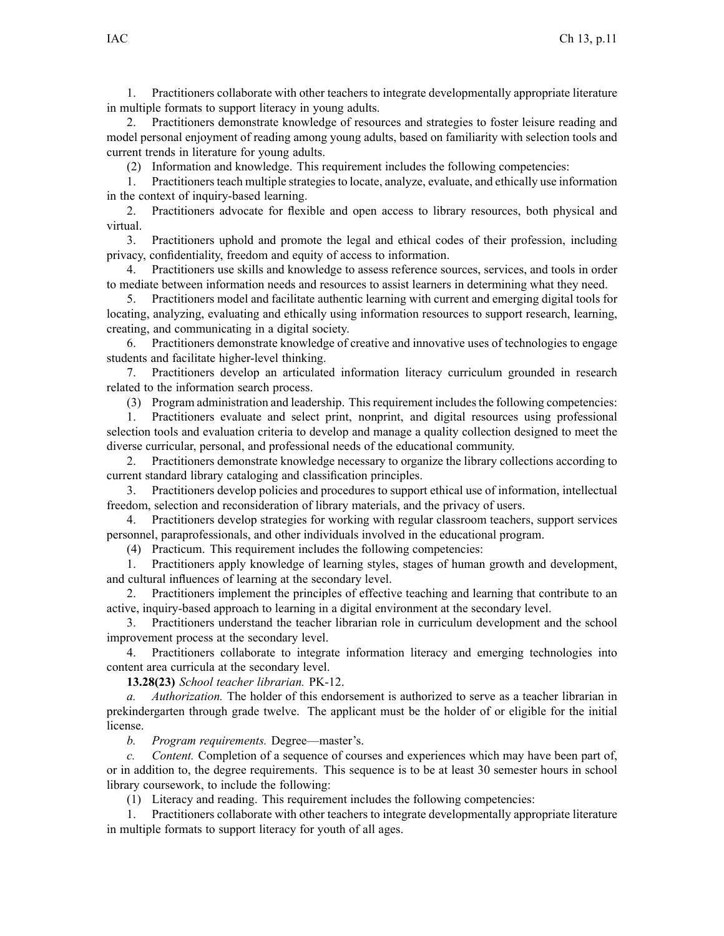1. Practitioners collaborate with other teachers to integrate developmentally appropriate literature in multiple formats to suppor<sup>t</sup> literacy in young adults.

2. Practitioners demonstrate knowledge of resources and strategies to foster leisure reading and model personal enjoyment of reading among young adults, based on familiarity with selection tools and current trends in literature for young adults.

(2) Information and knowledge. This requirement includes the following competencies:

1. Practitionersteach multiple strategiesto locate, analyze, evaluate, and ethically use information in the context of inquiry-based learning.

2. Practitioners advocate for flexible and open access to library resources, both physical and virtual.

3. Practitioners uphold and promote the legal and ethical codes of their profession, including privacy, confidentiality, freedom and equity of access to information.

4. Practitioners use skills and knowledge to assess reference sources, services, and tools in order to mediate between information needs and resources to assist learners in determining what they need.

5. Practitioners model and facilitate authentic learning with current and emerging digital tools for locating, analyzing, evaluating and ethically using information resources to suppor<sup>t</sup> research, learning, creating, and communicating in <sup>a</sup> digital society.

6. Practitioners demonstrate knowledge of creative and innovative uses of technologies to engage students and facilitate higher-level thinking.

7. Practitioners develop an articulated information literacy curriculum grounded in research related to the information search process.

(3) Program administration and leadership. Thisrequirement includesthe following competencies:

1. Practitioners evaluate and select print, nonprint, and digital resources using professional selection tools and evaluation criteria to develop and manage <sup>a</sup> quality collection designed to meet the diverse curricular, personal, and professional needs of the educational community.

2. Practitioners demonstrate knowledge necessary to organize the library collections according to current standard library cataloging and classification principles.

3. Practitioners develop policies and procedures to suppor<sup>t</sup> ethical use of information, intellectual freedom, selection and reconsideration of library materials, and the privacy of users.

4. Practitioners develop strategies for working with regular classroom teachers, suppor<sup>t</sup> services personnel, paraprofessionals, and other individuals involved in the educational program.

(4) Practicum. This requirement includes the following competencies:

1. Practitioners apply knowledge of learning styles, stages of human growth and development, and cultural influences of learning at the secondary level.

2. Practitioners implement the principles of effective teaching and learning that contribute to an active, inquiry-based approach to learning in <sup>a</sup> digital environment at the secondary level.

3. Practitioners understand the teacher librarian role in curriculum development and the school improvement process at the secondary level.

4. Practitioners collaborate to integrate information literacy and emerging technologies into content area curricula at the secondary level.

**13.28(23)** *School teacher librarian.* PK-12.

*a. Authorization.* The holder of this endorsement is authorized to serve as <sup>a</sup> teacher librarian in prekindergarten through grade twelve. The applicant must be the holder of or eligible for the initial license.

*b. Program requirements.* Degree—master's.

*c. Content.* Completion of <sup>a</sup> sequence of courses and experiences which may have been par<sup>t</sup> of, or in addition to, the degree requirements. This sequence is to be at least 30 semester hours in school library coursework, to include the following:

(1) Literacy and reading. This requirement includes the following competencies:

1. Practitioners collaborate with other teachers to integrate developmentally appropriate literature in multiple formats to suppor<sup>t</sup> literacy for youth of all ages.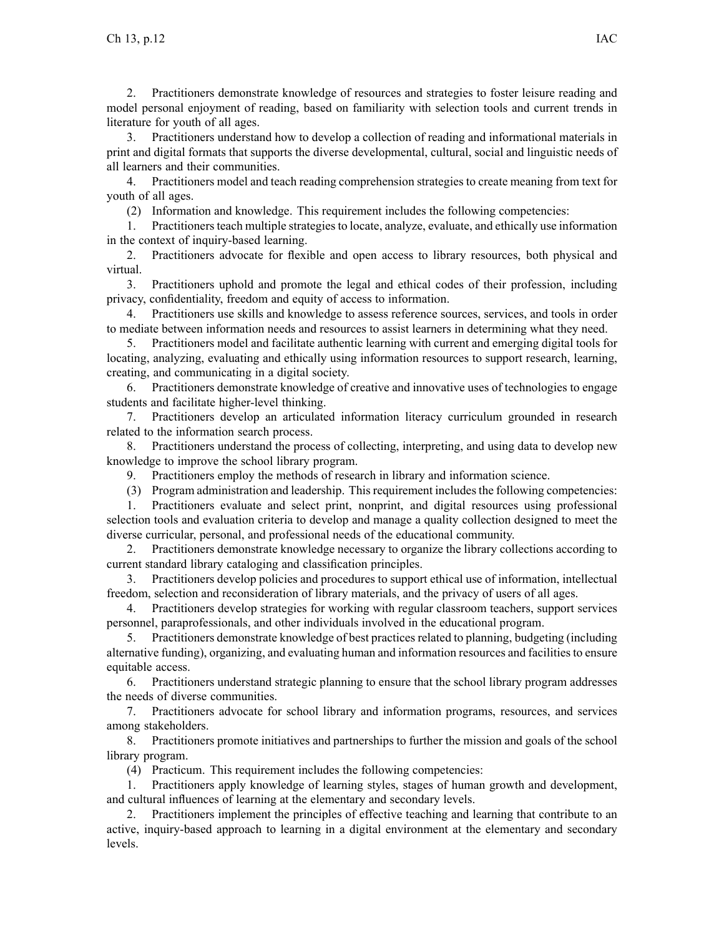2. Practitioners demonstrate knowledge of resources and strategies to foster leisure reading and model personal enjoyment of reading, based on familiarity with selection tools and current trends in literature for youth of all ages.

3. Practitioners understand how to develop <sup>a</sup> collection of reading and informational materials in print and digital formats that supports the diverse developmental, cultural, social and linguistic needs of all learners and their communities.

4. Practitioners model and teach reading comprehension strategies to create meaning from text for youth of all ages.

(2) Information and knowledge. This requirement includes the following competencies:

1. Practitionersteach multiple strategiesto locate, analyze, evaluate, and ethically use information in the context of inquiry-based learning.

2. Practitioners advocate for flexible and open access to library resources, both physical and virtual.

3. Practitioners uphold and promote the legal and ethical codes of their profession, including privacy, confidentiality, freedom and equity of access to information.

4. Practitioners use skills and knowledge to assess reference sources, services, and tools in order to mediate between information needs and resources to assist learners in determining what they need.

5. Practitioners model and facilitate authentic learning with current and emerging digital tools for locating, analyzing, evaluating and ethically using information resources to suppor<sup>t</sup> research, learning, creating, and communicating in <sup>a</sup> digital society.

6. Practitioners demonstrate knowledge of creative and innovative uses of technologies to engage students and facilitate higher-level thinking.

7. Practitioners develop an articulated information literacy curriculum grounded in research related to the information search process.

8. Practitioners understand the process of collecting, interpreting, and using data to develop new knowledge to improve the school library program.

9. Practitioners employ the methods of research in library and information science.

(3) Program administration and leadership. Thisrequirement includesthe following competencies:

1. Practitioners evaluate and select print, nonprint, and digital resources using professional selection tools and evaluation criteria to develop and manage <sup>a</sup> quality collection designed to meet the diverse curricular, personal, and professional needs of the educational community.

2. Practitioners demonstrate knowledge necessary to organize the library collections according to current standard library cataloging and classification principles.

3. Practitioners develop policies and procedures to suppor<sup>t</sup> ethical use of information, intellectual freedom, selection and reconsideration of library materials, and the privacy of users of all ages.

4. Practitioners develop strategies for working with regular classroom teachers, suppor<sup>t</sup> services personnel, paraprofessionals, and other individuals involved in the educational program.

5. Practitioners demonstrate knowledge of best practicesrelated to planning, budgeting (including alternative funding), organizing, and evaluating human and information resources and facilitiesto ensure equitable access.

6. Practitioners understand strategic planning to ensure that the school library program addresses the needs of diverse communities.

7. Practitioners advocate for school library and information programs, resources, and services among stakeholders.

8. Practitioners promote initiatives and partnerships to further the mission and goals of the school library program.

(4) Practicum. This requirement includes the following competencies:

1. Practitioners apply knowledge of learning styles, stages of human growth and development, and cultural influences of learning at the elementary and secondary levels.

2. Practitioners implement the principles of effective teaching and learning that contribute to an active, inquiry-based approach to learning in <sup>a</sup> digital environment at the elementary and secondary levels.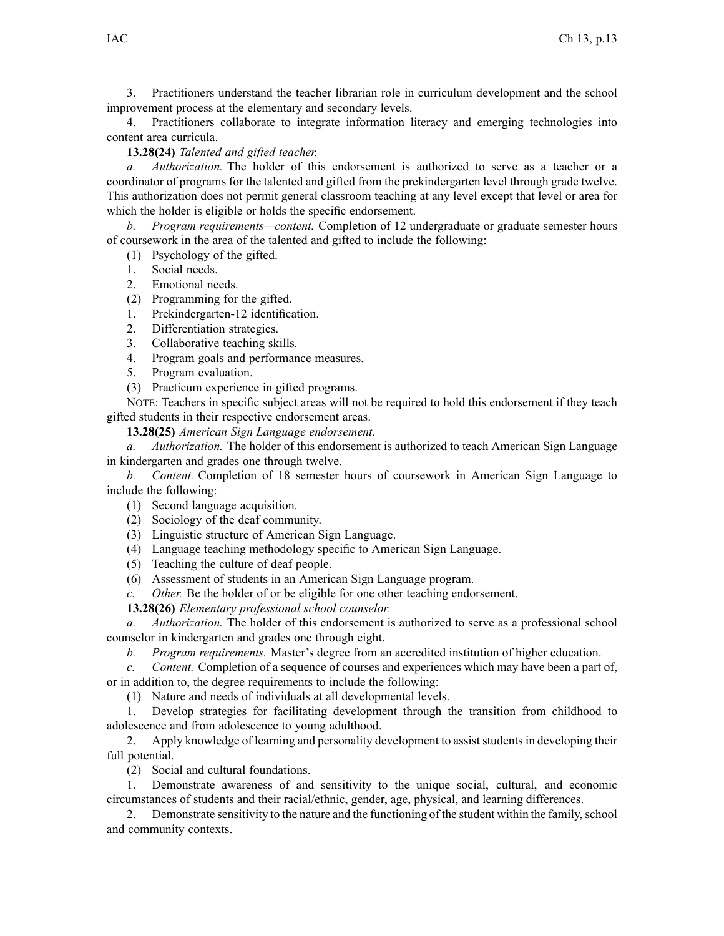3. Practitioners understand the teacher librarian role in curriculum development and the school improvement process at the elementary and secondary levels.

4. Practitioners collaborate to integrate information literacy and emerging technologies into content area curricula.

**13.28(24)** *Talented and gifted teacher.*

*a. Authorization.* The holder of this endorsement is authorized to serve as <sup>a</sup> teacher or <sup>a</sup> coordinator of programs for the talented and gifted from the prekindergarten level through grade twelve. This authorization does not permit general classroom teaching at any level excep<sup>t</sup> that level or area for which the holder is eligible or holds the specific endorsement.

*b. Program requirements—content.* Completion of 12 undergraduate or graduate semester hours of coursework in the area of the talented and gifted to include the following:

- (1) Psychology of the gifted.
- 1. Social needs.
- 2. Emotional needs.
- (2) Programming for the gifted.
- 1. Prekindergarten-12 identification.
- 2. Differentiation strategies.
- 3. Collaborative teaching skills.
- 4. Program goals and performance measures.
- 5. Program evaluation.
- (3) Practicum experience in gifted programs.

NOTE: Teachers in specific subject areas will not be required to hold this endorsement if they teach gifted students in their respective endorsement areas.

**13.28(25)** *American Sign Language endorsement.*

*a. Authorization.* The holder of this endorsement is authorized to teach American Sign Language in kindergarten and grades one through twelve.

*b. Content.* Completion of 18 semester hours of coursework in American Sign Language to include the following:

- (1) Second language acquisition.
- (2) Sociology of the deaf community.
- (3) Linguistic structure of American Sign Language.
- (4) Language teaching methodology specific to American Sign Language.
- (5) Teaching the culture of deaf people.
- (6) Assessment of students in an American Sign Language program.
- *c. Other.* Be the holder of or be eligible for one other teaching endorsement.

**13.28(26)** *Elementary professional school counselor.*

*a. Authorization.* The holder of this endorsement is authorized to serve as <sup>a</sup> professional school counselor in kindergarten and grades one through eight.

*b. Program requirements.* Master's degree from an accredited institution of higher education.

*c. Content.* Completion of <sup>a</sup> sequence of courses and experiences which may have been <sup>a</sup> par<sup>t</sup> of, or in addition to, the degree requirements to include the following:

(1) Nature and needs of individuals at all developmental levels.

1. Develop strategies for facilitating development through the transition from childhood to adolescence and from adolescence to young adulthood.

2. Apply knowledge of learning and personality development to assist students in developing their full potential.

(2) Social and cultural foundations.

1. Demonstrate awareness of and sensitivity to the unique social, cultural, and economic circumstances of students and their racial/ethnic, gender, age, physical, and learning differences.

2. Demonstrate sensitivity to the nature and the functioning of the student within the family, school and community contexts.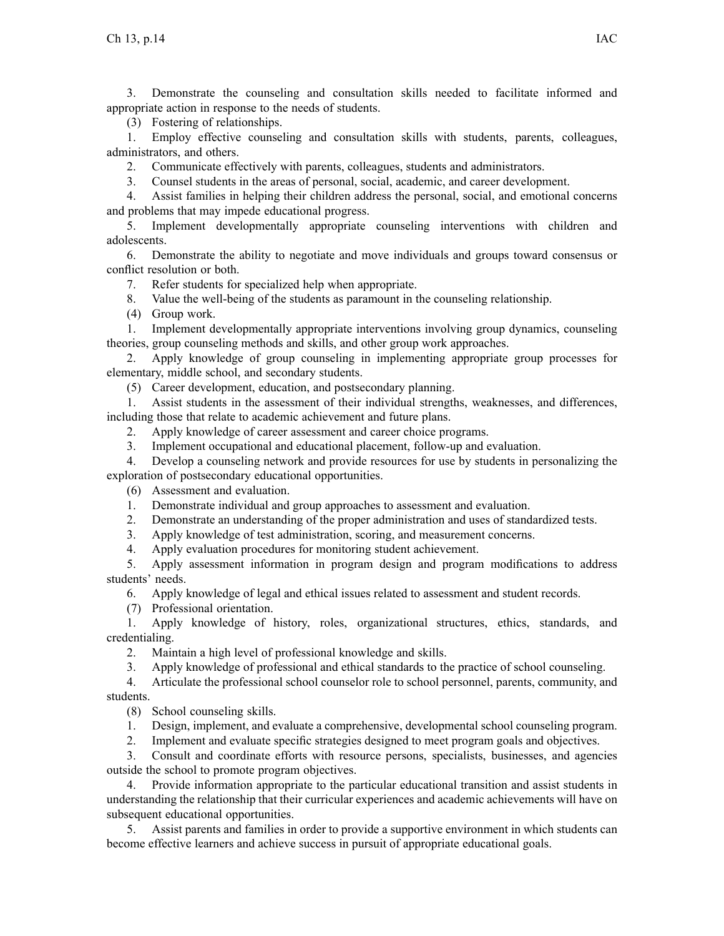3. Demonstrate the counseling and consultation skills needed to facilitate informed and appropriate action in response to the needs of students.

(3) Fostering of relationships.

1. Employ effective counseling and consultation skills with students, parents, colleagues, administrators, and others.

2. Communicate effectively with parents, colleagues, students and administrators.

3. Counsel students in the areas of personal, social, academic, and career development.

4. Assist families in helping their children address the personal, social, and emotional concerns and problems that may impede educational progress.

5. Implement developmentally appropriate counseling interventions with children and adolescents.

6. Demonstrate the ability to negotiate and move individuals and groups toward consensus or conflict resolution or both.

7. Refer students for specialized help when appropriate.

8. Value the well-being of the students as paramoun<sup>t</sup> in the counseling relationship.

(4) Group work.

1. Implement developmentally appropriate interventions involving group dynamics, counseling theories, group counseling methods and skills, and other group work approaches.

2. Apply knowledge of group counseling in implementing appropriate group processes for elementary, middle school, and secondary students.

(5) Career development, education, and postsecondary planning.

1. Assist students in the assessment of their individual strengths, weaknesses, and differences, including those that relate to academic achievement and future plans.

2. Apply knowledge of career assessment and career choice programs.

3. Implement occupational and educational placement, follow-up and evaluation.

4. Develop <sup>a</sup> counseling network and provide resources for use by students in personalizing the exploration of postsecondary educational opportunities.

(6) Assessment and evaluation.

1. Demonstrate individual and group approaches to assessment and evaluation.

2. Demonstrate an understanding of the proper administration and uses of standardized tests.

3. Apply knowledge of test administration, scoring, and measurement concerns.

4. Apply evaluation procedures for monitoring student achievement.

5. Apply assessment information in program design and program modifications to address students' needs.

6. Apply knowledge of legal and ethical issues related to assessment and student records.

(7) Professional orientation.

1. Apply knowledge of history, roles, organizational structures, ethics, standards, and credentialing.

2. Maintain <sup>a</sup> high level of professional knowledge and skills.

3. Apply knowledge of professional and ethical standards to the practice of school counseling.

4. Articulate the professional school counselor role to school personnel, parents, community, and students.

(8) School counseling skills.

1. Design, implement, and evaluate <sup>a</sup> comprehensive, developmental school counseling program.

2. Implement and evaluate specific strategies designed to meet program goals and objectives.

3. Consult and coordinate efforts with resource persons, specialists, businesses, and agencies outside the school to promote program objectives.

4. Provide information appropriate to the particular educational transition and assist students in understanding the relationship that their curricular experiences and academic achievements will have on subsequent educational opportunities.

5. Assist parents and families in order to provide <sup>a</sup> supportive environment in which students can become effective learners and achieve success in pursuit of appropriate educational goals.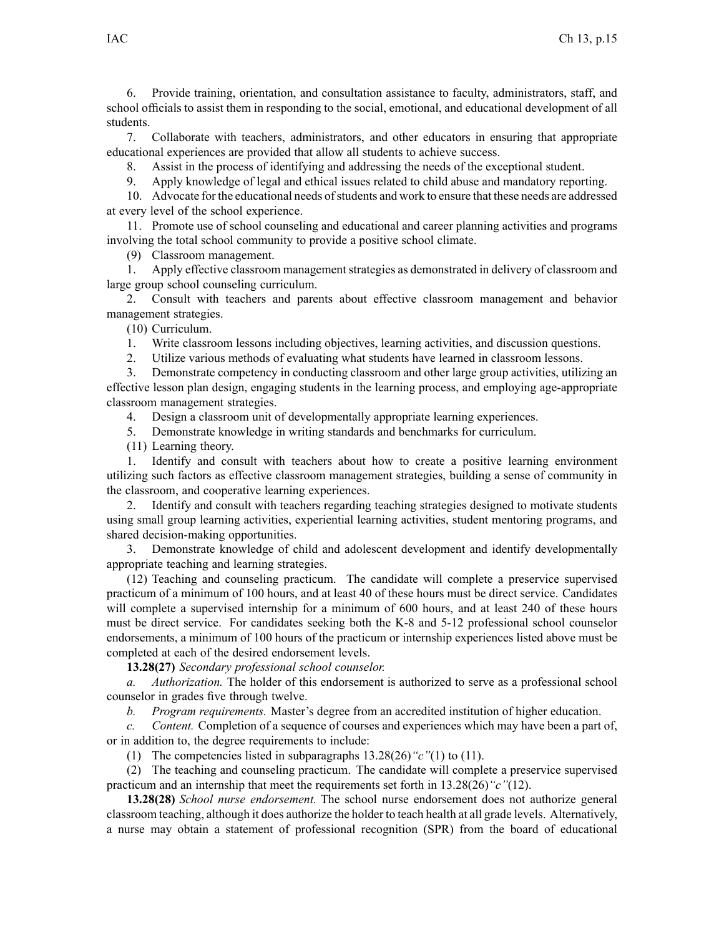6. Provide training, orientation, and consultation assistance to faculty, administrators, staff, and school officials to assist them in responding to the social, emotional, and educational development of all students.

7. Collaborate with teachers, administrators, and other educators in ensuring that appropriate educational experiences are provided that allow all students to achieve success.

8. Assist in the process of identifying and addressing the needs of the exceptional student.

9. Apply knowledge of legal and ethical issues related to child abuse and mandatory reporting.

10. Advocate for the educational needs ofstudents and work to ensure that these needs are addressed at every level of the school experience.

11. Promote use of school counseling and educational and career planning activities and programs involving the total school community to provide <sup>a</sup> positive school climate.

(9) Classroom management.

1. Apply effective classroom management strategies as demonstrated in delivery of classroom and large group school counseling curriculum.

2. Consult with teachers and parents about effective classroom managemen<sup>t</sup> and behavior managemen<sup>t</sup> strategies.

(10) Curriculum.

1. Write classroom lessons including objectives, learning activities, and discussion questions.

2. Utilize various methods of evaluating what students have learned in classroom lessons.

3. Demonstrate competency in conducting classroom and other large group activities, utilizing an effective lesson plan design, engaging students in the learning process, and employing age-appropriate classroom managemen<sup>t</sup> strategies.

4. Design <sup>a</sup> classroom unit of developmentally appropriate learning experiences.

5. Demonstrate knowledge in writing standards and benchmarks for curriculum.

(11) Learning theory.

1. Identify and consult with teachers about how to create <sup>a</sup> positive learning environment utilizing such factors as effective classroom managemen<sup>t</sup> strategies, building <sup>a</sup> sense of community in the classroom, and cooperative learning experiences.

2. Identify and consult with teachers regarding teaching strategies designed to motivate students using small group learning activities, experiential learning activities, student mentoring programs, and shared decision-making opportunities.

3. Demonstrate knowledge of child and adolescent development and identify developmentally appropriate teaching and learning strategies.

(12) Teaching and counseling practicum. The candidate will complete <sup>a</sup> preservice supervised practicum of <sup>a</sup> minimum of 100 hours, and at least 40 of these hours must be direct service. Candidates will complete a supervised internship for a minimum of 600 hours, and at least 240 of these hours must be direct service. For candidates seeking both the K-8 and 5-12 professional school counselor endorsements, <sup>a</sup> minimum of 100 hours of the practicum or internship experiences listed above must be completed at each of the desired endorsement levels.

**13.28(27)** *Secondary professional school counselor.*

*a. Authorization.* The holder of this endorsement is authorized to serve as <sup>a</sup> professional school counselor in grades five through twelve.

*b. Program requirements.* Master's degree from an accredited institution of higher education.

*c. Content.* Completion of <sup>a</sup> sequence of courses and experiences which may have been <sup>a</sup> par<sup>t</sup> of, or in addition to, the degree requirements to include:

(1) The competencies listed in subparagraphs [13.28\(26\)](https://www.legis.iowa.gov/docs/iac/rule/282.13.28.pdf)*"c"*(1) to (11).

(2) The teaching and counseling practicum. The candidate will complete <sup>a</sup> preservice supervised practicum and an internship that meet the requirements set forth in [13.28\(26\)](https://www.legis.iowa.gov/docs/iac/rule/282.13.28.pdf)*"c"*(12).

**13.28(28)** *School nurse endorsement.* The school nurse endorsement does not authorize general classroom teaching, although it does authorize the holder to teach health at all grade levels. Alternatively, <sup>a</sup> nurse may obtain <sup>a</sup> statement of professional recognition (SPR) from the board of educational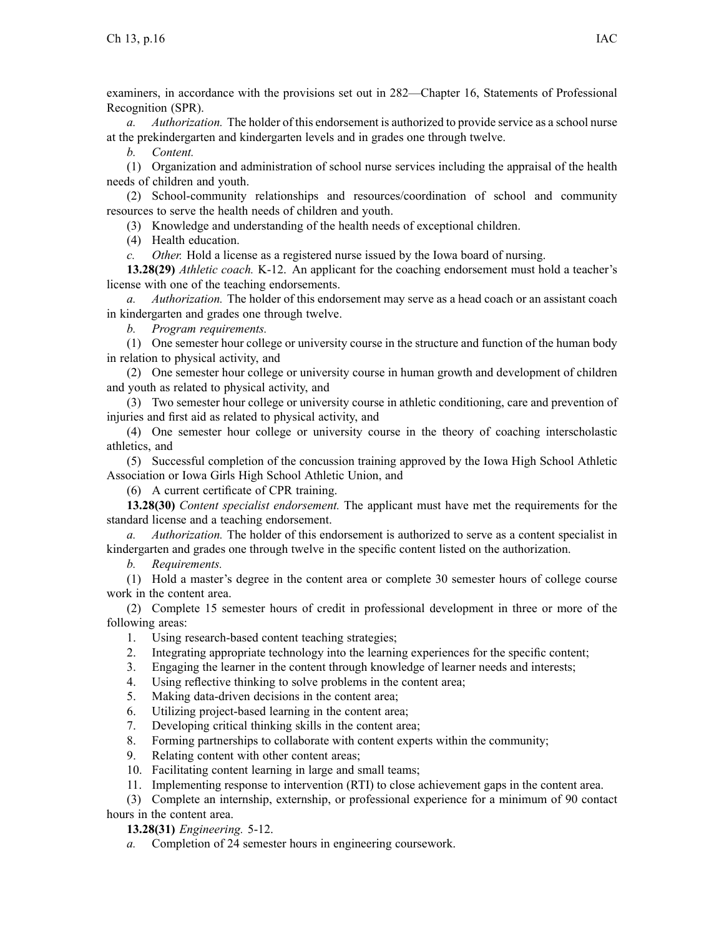examiners, in accordance with the provisions set out in [282—Chapter](https://www.legis.iowa.gov/docs/iac/chapter/282.16.pdf) 16, Statements of Professional Recognition (SPR).

*a. Authorization.* The holder of this endorsement is authorized to provide service as <sup>a</sup> school nurse at the prekindergarten and kindergarten levels and in grades one through twelve.

*b. Content.*

(1) Organization and administration of school nurse services including the appraisal of the health needs of children and youth.

(2) School-community relationships and resources/coordination of school and community resources to serve the health needs of children and youth.

(3) Knowledge and understanding of the health needs of exceptional children.

(4) Health education.

*c. Other.* Hold <sup>a</sup> license as <sup>a</sup> registered nurse issued by the Iowa board of nursing.

**13.28(29)** *Athletic coach.* K-12. An applicant for the coaching endorsement must hold <sup>a</sup> teacher's license with one of the teaching endorsements.

*a. Authorization.* The holder of this endorsement may serve as <sup>a</sup> head coach or an assistant coach in kindergarten and grades one through twelve.

*b. Program requirements.*

(1) One semester hour college or university course in the structure and function of the human body in relation to physical activity, and

(2) One semester hour college or university course in human growth and development of children and youth as related to physical activity, and

(3) Two semester hour college or university course in athletic conditioning, care and prevention of injuries and first aid as related to physical activity, and

(4) One semester hour college or university course in the theory of coaching interscholastic athletics, and

(5) Successful completion of the concussion training approved by the Iowa High School Athletic Association or Iowa Girls High School Athletic Union, and

(6) A current certificate of CPR training.

**13.28(30)** *Content specialist endorsement.* The applicant must have met the requirements for the standard license and <sup>a</sup> teaching endorsement.

*a. Authorization.* The holder of this endorsement is authorized to serve as <sup>a</sup> content specialist in kindergarten and grades one through twelve in the specific content listed on the authorization.

*b. Requirements.*

(1) Hold <sup>a</sup> master's degree in the content area or complete 30 semester hours of college course work in the content area.

(2) Complete 15 semester hours of credit in professional development in three or more of the following areas:

1. Using research-based content teaching strategies;

- 2. Integrating appropriate technology into the learning experiences for the specific content;
- 3. Engaging the learner in the content through knowledge of learner needs and interests;
- 4. Using reflective thinking to solve problems in the content area;
- 5. Making data-driven decisions in the content area;
- 6. Utilizing project-based learning in the content area;
- 7. Developing critical thinking skills in the content area;
- 8. Forming partnerships to collaborate with content experts within the community;
- 9. Relating content with other content areas;
- 10. Facilitating content learning in large and small teams;
- 11. Implementing response to intervention (RTI) to close achievement gaps in the content area.

(3) Complete an internship, externship, or professional experience for <sup>a</sup> minimum of 90 contact hours in the content area.

**13.28(31)** *Engineering.* 5-12.

*a.* Completion of 24 semester hours in engineering coursework.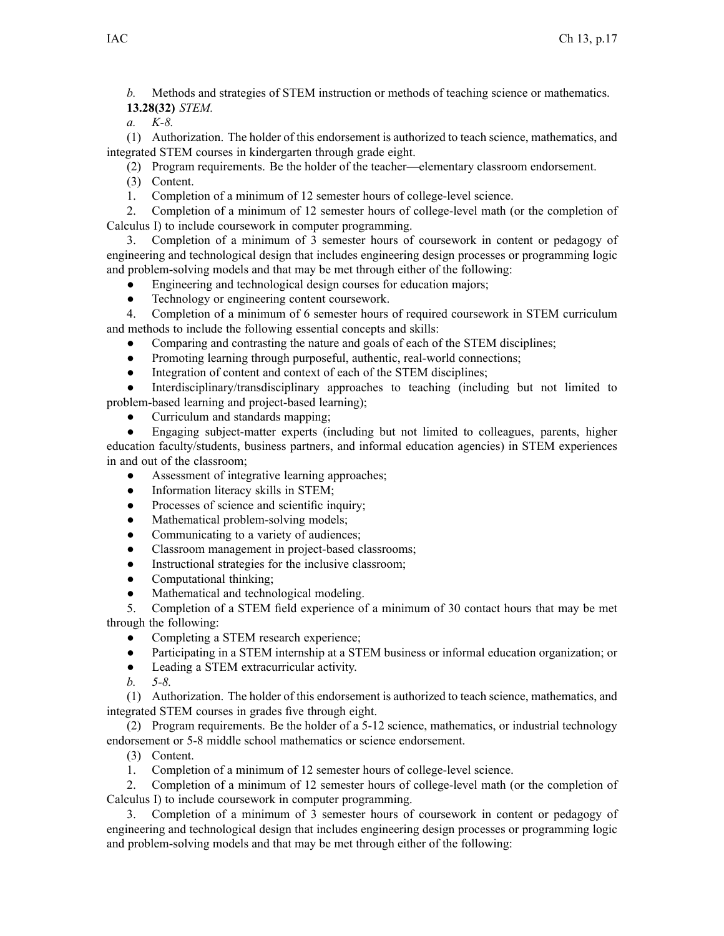*b.* Methods and strategies of STEM instruction or methods of teaching science or mathematics. **13.28(32)** *STEM.*

*a. K-8.*

(1) Authorization. The holder of this endorsement is authorized to teach science, mathematics, and integrated STEM courses in kindergarten through grade eight.

(2) Program requirements. Be the holder of the teacher—elementary classroom endorsement.

(3) Content.

1. Completion of <sup>a</sup> minimum of 12 semester hours of college-level science.

2. Completion of <sup>a</sup> minimum of 12 semester hours of college-level math (or the completion of Calculus I) to include coursework in computer programming.

3. Completion of <sup>a</sup> minimum of 3 semester hours of coursework in content or pedagogy of engineering and technological design that includes engineering design processes or programming logic and problem-solving models and that may be met through either of the following:

- ●Engineering and technological design courses for education majors;
- ●Technology or engineering content coursework.

4. Completion of <sup>a</sup> minimum of 6 semester hours of required coursework in STEM curriculum and methods to include the following essential concepts and skills:

- $\bullet$ Comparing and contrasting the nature and goals of each of the STEM disciplines;
- $\bullet$ Promoting learning through purposeful, authentic, real-world connections;
- $\bullet$ Integration of content and context of each of the STEM disciplines;

● Interdisciplinary/transdisciplinary approaches to teaching (including but not limited to problem-based learning and project-based learning);

●Curriculum and standards mapping;

 $\bullet$  Engaging subject-matter experts (including but not limited to colleagues, parents, higher education faculty/students, business partners, and informal education agencies) in STEM experiences in and out of the classroom;

- ●Assessment of integrative learning approaches;
- $\bullet$ Information literacy skills in STEM;
- ●Processes of science and scientific inquiry;
- $\bullet$ Mathematical problem-solving models;
- $\bullet$ Communicating to <sup>a</sup> variety of audiences;
- ●Classroom managemen<sup>t</sup> in project-based classrooms;
- $\bullet$ Instructional strategies for the inclusive classroom;
- ●Computational thinking;
- $\bullet$ Mathematical and technological modeling.

5. Completion of <sup>a</sup> STEM field experience of <sup>a</sup> minimum of 30 contact hours that may be met through the following:

- $\bullet$ Completing <sup>a</sup> STEM research experience;
- $\bullet$ Participating in <sup>a</sup> STEM internship at <sup>a</sup> STEM business or informal education organization; or
- ●Leading <sup>a</sup> STEM extracurricular activity.
- *b. 5-8.*

(1) Authorization. The holder of this endorsement is authorized to teach science, mathematics, and integrated STEM courses in grades five through eight.

(2) Program requirements. Be the holder of <sup>a</sup> 5-12 science, mathematics, or industrial technology endorsement or 5-8 middle school mathematics or science endorsement.

- (3) Content.
- 1. Completion of <sup>a</sup> minimum of 12 semester hours of college-level science.

2. Completion of <sup>a</sup> minimum of 12 semester hours of college-level math (or the completion of Calculus I) to include coursework in computer programming.

3. Completion of <sup>a</sup> minimum of 3 semester hours of coursework in content or pedagogy of engineering and technological design that includes engineering design processes or programming logic and problem-solving models and that may be met through either of the following: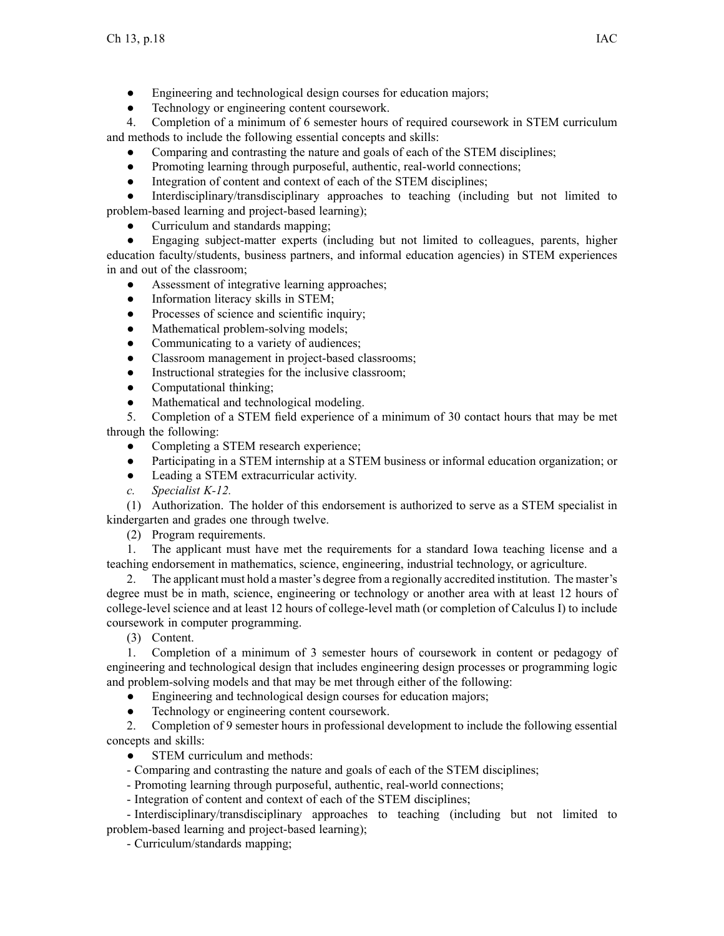- $\bullet$ Engineering and technological design courses for education majors;
- $\bullet$ Technology or engineering content coursework.

4. Completion of <sup>a</sup> minimum of 6 semester hours of required coursework in STEM curriculum and methods to include the following essential concepts and skills:

- $\bullet$ Comparing and contrasting the nature and goals of each of the STEM disciplines;
- ●Promoting learning through purposeful, authentic, real-world connections;
- $\bullet$ Integration of content and context of each of the STEM disciplines;

● Interdisciplinary/transdisciplinary approaches to teaching (including but not limited to problem-based learning and project-based learning);

●Curriculum and standards mapping;

● Engaging subject-matter experts (including but not limited to colleagues, parents, higher education faculty/students, business partners, and informal education agencies) in STEM experiences in and out of the classroom;

- ●Assessment of integrative learning approaches;
- ●Information literacy skills in STEM;
- $\bullet$ Processes of science and scientific inquiry;
- $\bullet$ Mathematical problem-solving models;
- ●Communicating to <sup>a</sup> variety of audiences;
- $\bullet$ Classroom managemen<sup>t</sup> in project-based classrooms;
- $\bullet$ Instructional strategies for the inclusive classroom;
- $\bullet$ Computational thinking;
- $\bullet$ Mathematical and technological modeling.

5. Completion of <sup>a</sup> STEM field experience of <sup>a</sup> minimum of 30 contact hours that may be met through the following:

- $\bullet$ Completing <sup>a</sup> STEM research experience;
- ●Participating in <sup>a</sup> STEM internship at <sup>a</sup> STEM business or informal education organization; or
- ●Leading <sup>a</sup> STEM extracurricular activity.
- *c. Specialist K-12.*

(1) Authorization. The holder of this endorsement is authorized to serve as <sup>a</sup> STEM specialist in kindergarten and grades one through twelve.

(2) Program requirements.

1. The applicant must have met the requirements for <sup>a</sup> standard Iowa teaching license and <sup>a</sup> teaching endorsement in mathematics, science, engineering, industrial technology, or agriculture.

2. The applicant must hold <sup>a</sup> master's degree from <sup>a</sup> regionally accredited institution. The master's degree must be in math, science, engineering or technology or another area with at least 12 hours of college-level science and at least 12 hours of college-level math (or completion of Calculus I) to include coursework in computer programming.

(3) Content.

1. Completion of <sup>a</sup> minimum of 3 semester hours of coursework in content or pedagogy of engineering and technological design that includes engineering design processes or programming logic and problem-solving models and that may be met through either of the following:

 $\bullet$ Engineering and technological design courses for education majors;

 $\bullet$ Technology or engineering content coursework.

2. Completion of 9 semester hours in professional development to include the following essential concepts and skills:

- ●STEM curriculum and methods:
- Comparing and contrasting the nature and goals of each of the STEM disciplines;
- Promoting learning through purposeful, authentic, real-world connections;
- Integration of content and context of each of the STEM disciplines;

- Interdisciplinary/transdisciplinary approaches to teaching (including but not limited to problem-based learning and project-based learning);

- Curriculum/standards mapping;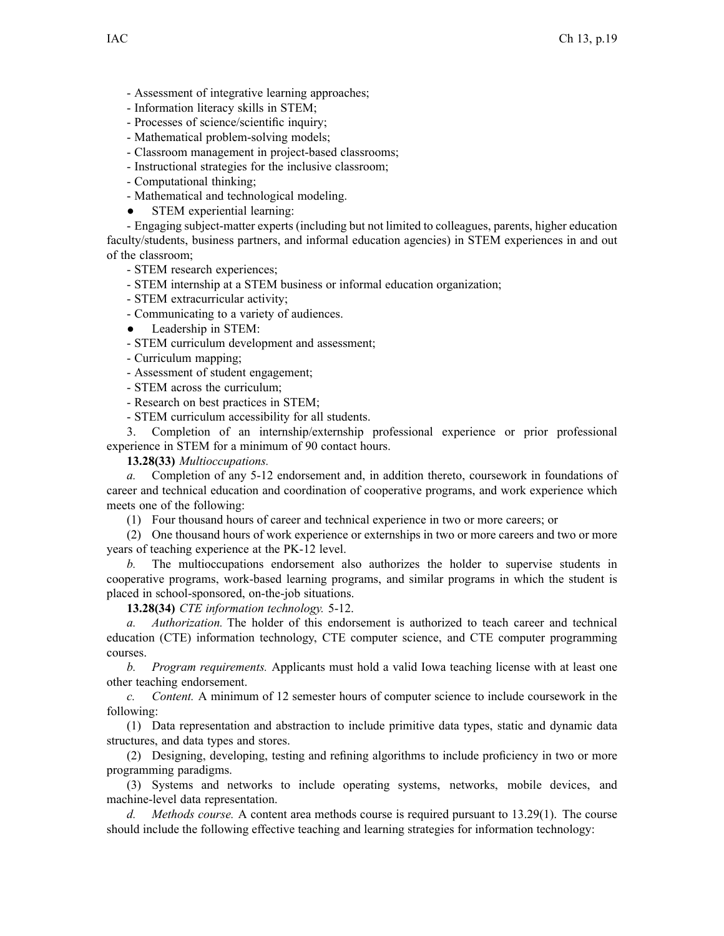- Assessment of integrative learning approaches;
- Information literacy skills in STEM;
- Processes of science/scientific inquiry;
- Mathematical problem-solving models;
- Classroom managemen<sup>t</sup> in project-based classrooms;
- Instructional strategies for the inclusive classroom;
- Computational thinking;
- Mathematical and technological modeling.
- $\bullet$ STEM experiential learning:

- Engaging subject-matter experts (including but not limited to colleagues, parents, higher education faculty/students, business partners, and informal education agencies) in STEM experiences in and out of the classroom;

- STEM research experiences;

- STEM internship at <sup>a</sup> STEM business or informal education organization;
- STEM extracurricular activity;
- Communicating to <sup>a</sup> variety of audiences.
- $\bullet$ Leadership in STEM:
- STEM curriculum development and assessment;
- Curriculum mapping;
- Assessment of student engagement;
- STEM across the curriculum;
- Research on best practices in STEM;
- STEM curriculum accessibility for all students.

3. Completion of an internship/externship professional experience or prior professional experience in STEM for <sup>a</sup> minimum of 90 contact hours.

## **13.28(33)** *Multioccupations.*

*a.* Completion of any 5-12 endorsement and, in addition thereto, coursework in foundations of career and technical education and coordination of cooperative programs, and work experience which meets one of the following:

(1) Four thousand hours of career and technical experience in two or more careers; or

(2) One thousand hours of work experience or externships in two or more careers and two or more years of teaching experience at the PK-12 level.

*b.* The multioccupations endorsement also authorizes the holder to supervise students in cooperative programs, work-based learning programs, and similar programs in which the student is placed in school-sponsored, on-the-job situations.

**13.28(34)** *CTE information technology.* 5-12.

*a. Authorization.* The holder of this endorsement is authorized to teach career and technical education (CTE) information technology, CTE computer science, and CTE computer programming courses.

*b. Program requirements.* Applicants must hold <sup>a</sup> valid Iowa teaching license with at least one other teaching endorsement.

*c. Content.* A minimum of 12 semester hours of computer science to include coursework in the following:

(1) Data representation and abstraction to include primitive data types, static and dynamic data structures, and data types and stores.

(2) Designing, developing, testing and refining algorithms to include proficiency in two or more programming paradigms.

(3) Systems and networks to include operating systems, networks, mobile devices, and machine-level data representation.

*d. Methods course.* A content area methods course is required pursuan<sup>t</sup> to 13.29(1). The course should include the following effective teaching and learning strategies for information technology: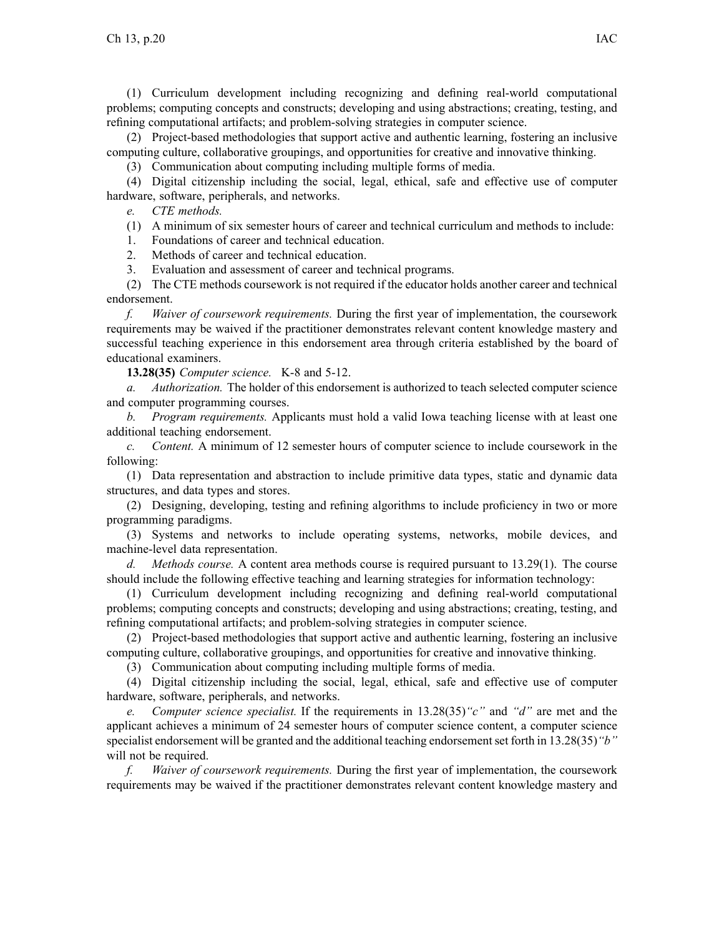(1) Curriculum development including recognizing and defining real-world computational problems; computing concepts and constructs; developing and using abstractions; creating, testing, and refining computational artifacts; and problem-solving strategies in computer science.

(2) Project-based methodologies that suppor<sup>t</sup> active and authentic learning, fostering an inclusive computing culture, collaborative groupings, and opportunities for creative and innovative thinking.

(3) Communication about computing including multiple forms of media.

(4) Digital citizenship including the social, legal, ethical, safe and effective use of computer hardware, software, peripherals, and networks.

*e. CTE methods.*

(1) A minimum of six semester hours of career and technical curriculum and methods to include:

1. Foundations of career and technical education.

2. Methods of career and technical education.

3. Evaluation and assessment of career and technical programs.

(2) The CTE methods coursework is not required if the educator holds another career and technical endorsement.

*f. Waiver of coursework requirements.* During the first year of implementation, the coursework requirements may be waived if the practitioner demonstrates relevant content knowledge mastery and successful teaching experience in this endorsement area through criteria established by the board of educational examiners.

**13.28(35)** *Computer science.* K-8 and 5-12.

*a. Authorization.* The holder of this endorsement is authorized to teach selected computer science and computer programming courses.

*b. Program requirements.* Applicants must hold <sup>a</sup> valid Iowa teaching license with at least one additional teaching endorsement.

*c. Content.* A minimum of 12 semester hours of computer science to include coursework in the following:

(1) Data representation and abstraction to include primitive data types, static and dynamic data structures, and data types and stores.

(2) Designing, developing, testing and refining algorithms to include proficiency in two or more programming paradigms.

(3) Systems and networks to include operating systems, networks, mobile devices, and machine-level data representation.

*d. Methods course.* A content area methods course is required pursuan<sup>t</sup> to 13.29(1). The course should include the following effective teaching and learning strategies for information technology:

(1) Curriculum development including recognizing and defining real-world computational problems; computing concepts and constructs; developing and using abstractions; creating, testing, and refining computational artifacts; and problem-solving strategies in computer science.

(2) Project-based methodologies that suppor<sup>t</sup> active and authentic learning, fostering an inclusive computing culture, collaborative groupings, and opportunities for creative and innovative thinking.

(3) Communication about computing including multiple forms of media.

(4) Digital citizenship including the social, legal, ethical, safe and effective use of computer hardware, software, peripherals, and networks.

*e. Computer science specialist.* If the requirements in 13.28(35)*"c"* and *"d"* are met and the applicant achieves <sup>a</sup> minimum of 24 semester hours of computer science content, <sup>a</sup> computer science specialist endorsement will be granted and the additional teaching endorsementset forth in 13.28(35)*"b"* will not be required.

*f. Waiver of coursework requirements.* During the first year of implementation, the coursework requirements may be waived if the practitioner demonstrates relevant content knowledge mastery and